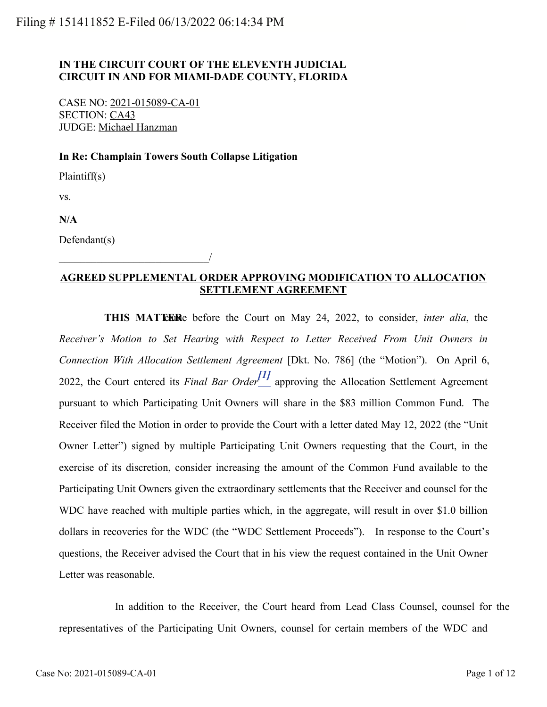# **IN THE CIRCUIT COURT OF THE ELEVENTH JUDICIAL CIRCUIT IN AND FOR MIAMI-DADE COUNTY, FLORIDA**

CASE NO: 2021-015089-CA-01 SECTION: CA43 JUDGE: Michael Hanzman

\_\_\_\_\_\_\_\_\_\_\_\_\_\_\_\_\_\_\_\_\_\_\_\_\_\_\_\_/

#### **In Re: Champlain Towers South Collapse Litigation**

Plaintiff(s)

vs.

**N/A**

Defendant(s)

## **AGREED SUPPLEMENTAL ORDER APPROVING MODIFICATION TO ALLOCATION SETTLEMENT AGREEMENT**

<span id="page-0-0"></span>**THIS MATTER** before the Court on May 24, 2022, to consider, *inter alia*, the *Receiver's Motion to Set Hearing with Respect to Letter Received From Unit Owners in Connection With Allocation Settlement Agreement* [Dkt. No. 786] (the "Motion"). On April 6, 2022, the Court entered its *Final Bar Order[\[1\]](#page-2-0)* approving the Allocation Settlement Agreement pursuant to which Participating Unit Owners will share in the \$83 million Common Fund. The Receiver filed the Motion in order to provide the Court with a letter dated May 12, 2022 (the "Unit Owner Letter") signed by multiple Participating Unit Owners requesting that the Court, in the exercise of its discretion, consider increasing the amount of the Common Fund available to the Participating Unit Owners given the extraordinary settlements that the Receiver and counsel for the WDC have reached with multiple parties which, in the aggregate, will result in over \$1.0 billion dollars in recoveries for the WDC (the "WDC Settlement Proceeds"). In response to the Court's questions, the Receiver advised the Court that in his view the request contained in the Unit Owner Letter was reasonable.

 In addition to the Receiver, the Court heard from Lead Class Counsel, counsel for the representatives of the Participating Unit Owners, counsel for certain members of the WDC and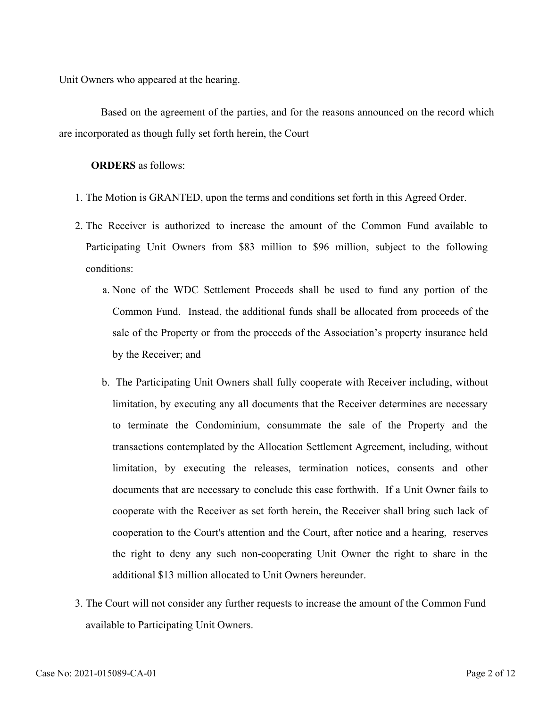Unit Owners who appeared at the hearing.

 Based on the agreement of the parties, and for the reasons announced on the record which are incorporated as though fully set forth herein, the Court

**ORDERS** as follows:

- 1. The Motion is GRANTED, upon the terms and conditions set forth in this Agreed Order.
- 2. The Receiver is authorized to increase the amount of the Common Fund available to Participating Unit Owners from \$83 million to \$96 million, subject to the following conditions:
	- None of the WDC Settlement Proceeds shall be used to fund any portion of the a. Common Fund. Instead, the additional funds shall be allocated from proceeds of the sale of the Property or from the proceeds of the Association's property insurance held by the Receiver; and
	- The Participating Unit Owners shall fully cooperate with Receiver including, without b. limitation, by executing any all documents that the Receiver determines are necessary to terminate the Condominium, consummate the sale of the Property and the transactions contemplated by the Allocation Settlement Agreement, including, without limitation, by executing the releases, termination notices, consents and other documents that are necessary to conclude this case forthwith. If a Unit Owner fails to cooperate with the Receiver as set forth herein, the Receiver shall bring such lack of cooperation to the Court's attention and the Court, after notice and a hearing, reserves the right to deny any such non-cooperating Unit Owner the right to share in the additional \$13 million allocated to Unit Owners hereunder.
- 3. The Court will not consider any further requests to increase the amount of the Common Fund available to Participating Unit Owners.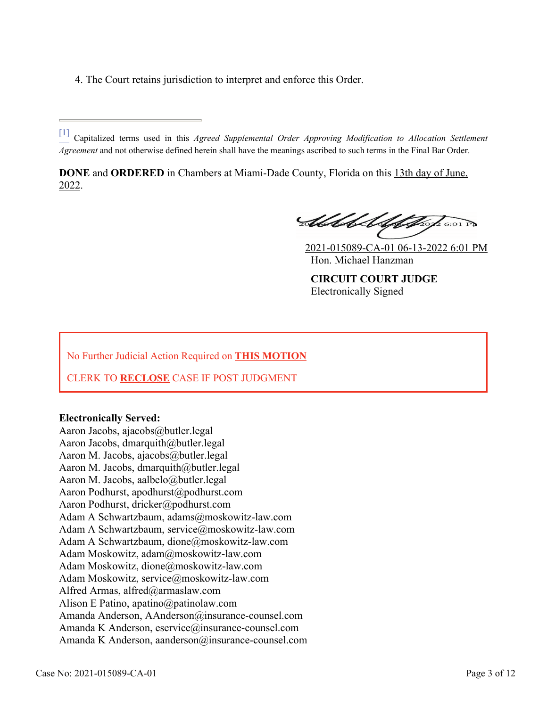4. The Court retains jurisdiction to interpret and enforce this Order.

<span id="page-2-0"></span>[\[1\]](#page-0-0) Capitalized terms used in this *Agreed Supplemental Order Approving Modification to Allocation Settlement Agreement* and not otherwise defined herein shall have the meanings ascribed to such terms in the Final Bar Order.

**DONE** and **ORDERED** in Chambers at Miami-Dade County, Florida on this 13th day of June, 2022.

Abbet Alphap 6:01 P

2021-015089-CA-01 06-13-2022 6:01 PM Hon. Michael Hanzman

**CIRCUIT COURT JUDGE** Electronically Signed

No Further Judicial Action Required on **THIS MOTION**

CLERK TO **RECLOSE** CASE IF POST JUDGMENT

### **Electronically Served:**

Aaron Jacobs, ajacobs@butler.legal Aaron Jacobs, dmarquith@butler.legal Aaron M. Jacobs, ajacobs@butler.legal Aaron M. Jacobs, dmarquith@butler.legal Aaron M. Jacobs, aalbelo@butler.legal Aaron Podhurst, apodhurst@podhurst.com Aaron Podhurst, dricker@podhurst.com Adam A Schwartzbaum, adams@moskowitz-law.com Adam A Schwartzbaum, service@moskowitz-law.com Adam A Schwartzbaum, dione@moskowitz-law.com Adam Moskowitz, adam@moskowitz-law.com Adam Moskowitz, dione@moskowitz-law.com Adam Moskowitz, service@moskowitz-law.com Alfred Armas, alfred@armaslaw.com Alison E Patino, apatino@patinolaw.com Amanda Anderson, AAnderson@insurance-counsel.com Amanda K Anderson, eservice@insurance-counsel.com Amanda K Anderson, aanderson@insurance-counsel.com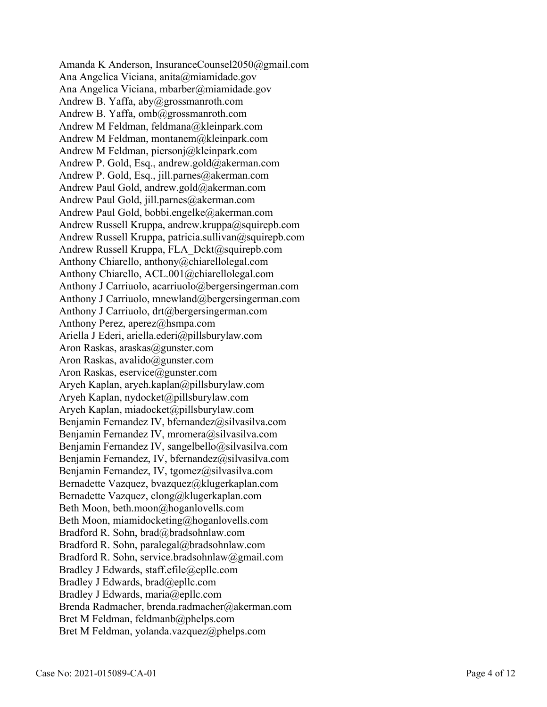Amanda K Anderson, InsuranceCounsel2050@gmail.com Ana Angelica Viciana, anita@miamidade.gov Ana Angelica Viciana, mbarber@miamidade.gov Andrew B. Yaffa, aby@grossmanroth.com Andrew B. Yaffa, omb@grossmanroth.com Andrew M Feldman, feldmana@kleinpark.com Andrew M Feldman, montanem@kleinpark.com Andrew M Feldman, piersonj@kleinpark.com Andrew P. Gold, Esq., andrew.gold@akerman.com Andrew P. Gold, Esq., jill.parnes@akerman.com Andrew Paul Gold, andrew.gold@akerman.com Andrew Paul Gold, jill.parnes@akerman.com Andrew Paul Gold, bobbi.engelke@akerman.com Andrew Russell Kruppa, andrew.kruppa@squirepb.com Andrew Russell Kruppa, patricia.sullivan@squirepb.com Andrew Russell Kruppa, FLA\_Dckt@squirepb.com Anthony Chiarello, anthony@chiarellolegal.com Anthony Chiarello, ACL.001@chiarellolegal.com Anthony J Carriuolo, acarriuolo@bergersingerman.com Anthony J Carriuolo, mnewland@bergersingerman.com Anthony J Carriuolo, drt@bergersingerman.com Anthony Perez, aperez@hsmpa.com Ariella J Ederi, ariella.ederi@pillsburylaw.com Aron Raskas, araskas@gunster.com Aron Raskas, avalido@gunster.com Aron Raskas, eservice@gunster.com Aryeh Kaplan, aryeh.kaplan@pillsburylaw.com Aryeh Kaplan, nydocket@pillsburylaw.com Aryeh Kaplan, miadocket@pillsburylaw.com Benjamin Fernandez IV, bfernandez@silvasilva.com Benjamin Fernandez IV, mromera@silvasilva.com Benjamin Fernandez IV, sangelbello@silvasilva.com Benjamin Fernandez, IV, bfernandez@silvasilva.com Benjamin Fernandez, IV, tgomez@silvasilva.com Bernadette Vazquez, bvazquez@klugerkaplan.com Bernadette Vazquez, clong@klugerkaplan.com Beth Moon, beth.moon@hoganlovells.com Beth Moon, miamidocketing@hoganlovells.com Bradford R. Sohn, brad@bradsohnlaw.com Bradford R. Sohn, paralegal@bradsohnlaw.com Bradford R. Sohn, service.bradsohnlaw@gmail.com Bradley J Edwards, staff.efile@epllc.com Bradley J Edwards, brad@epllc.com Bradley J Edwards, maria@epllc.com Brenda Radmacher, brenda.radmacher@akerman.com Bret M Feldman, feldmanb@phelps.com Bret M Feldman, yolanda.vazquez@phelps.com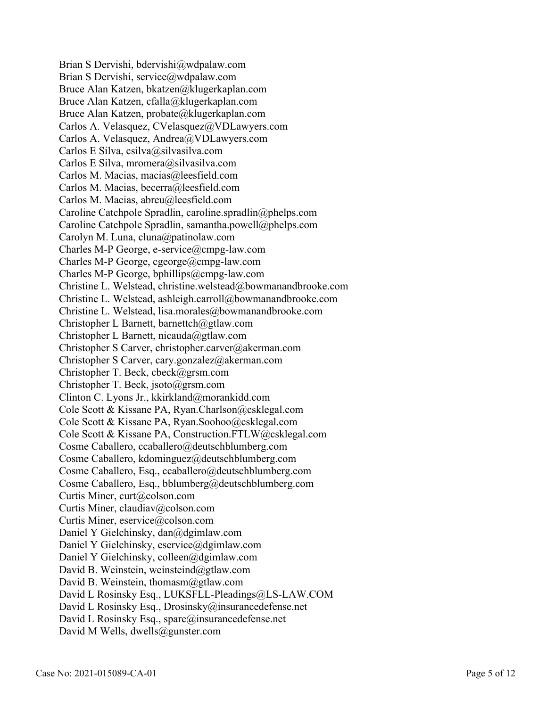Brian S Dervishi, bdervishi@wdpalaw.com Brian S Dervishi, service@wdpalaw.com Bruce Alan Katzen, bkatzen@klugerkaplan.com Bruce Alan Katzen, cfalla@klugerkaplan.com Bruce Alan Katzen, probate@klugerkaplan.com Carlos A. Velasquez, CVelasquez@VDLawyers.com Carlos A. Velasquez, Andrea@VDLawyers.com Carlos E Silva, csilva@silvasilva.com Carlos E Silva, mromera@silvasilva.com Carlos M. Macias, macias@leesfield.com Carlos M. Macias, becerra@leesfield.com Carlos M. Macias, abreu@leesfield.com Caroline Catchpole Spradlin, caroline.spradlin@phelps.com Caroline Catchpole Spradlin, samantha.powell@phelps.com Carolyn M. Luna, cluna@patinolaw.com Charles M-P George, e-service@cmpg-law.com Charles M-P George, cgeorge@cmpg-law.com Charles M-P George, bphillips@cmpg-law.com Christine L. Welstead, christine.welstead@bowmanandbrooke.com Christine L. Welstead, ashleigh.carroll@bowmanandbrooke.com Christine L. Welstead, lisa.morales@bowmanandbrooke.com Christopher L Barnett, barnettch@gtlaw.com Christopher L Barnett, nicauda@gtlaw.com Christopher S Carver, christopher.carver@akerman.com Christopher S Carver, cary.gonzalez@akerman.com Christopher T. Beck, cbeck@grsm.com Christopher T. Beck, jsoto@grsm.com Clinton C. Lyons Jr., kkirkland@morankidd.com Cole Scott & Kissane PA, Ryan.Charlson@csklegal.com Cole Scott & Kissane PA, Ryan.Soohoo@csklegal.com Cole Scott & Kissane PA, Construction.FTLW@csklegal.com Cosme Caballero, ccaballero@deutschblumberg.com Cosme Caballero, kdominguez@deutschblumberg.com Cosme Caballero, Esq., ccaballero@deutschblumberg.com Cosme Caballero, Esq., bblumberg@deutschblumberg.com Curtis Miner, curt@colson.com Curtis Miner, claudiav@colson.com Curtis Miner, eservice@colson.com Daniel Y Gielchinsky, dan@dgimlaw.com Daniel Y Gielchinsky, eservice@dgimlaw.com Daniel Y Gielchinsky, colleen@dgimlaw.com David B. Weinstein, weinsteind@gtlaw.com David B. Weinstein, thomasm@gtlaw.com David L Rosinsky Esq., LUKSFLL-Pleadings@LS-LAW.COM David L Rosinsky Esq., Drosinsky@insurancedefense.net David L Rosinsky Esq., spare@insurancedefense.net David M Wells, dwells@gunster.com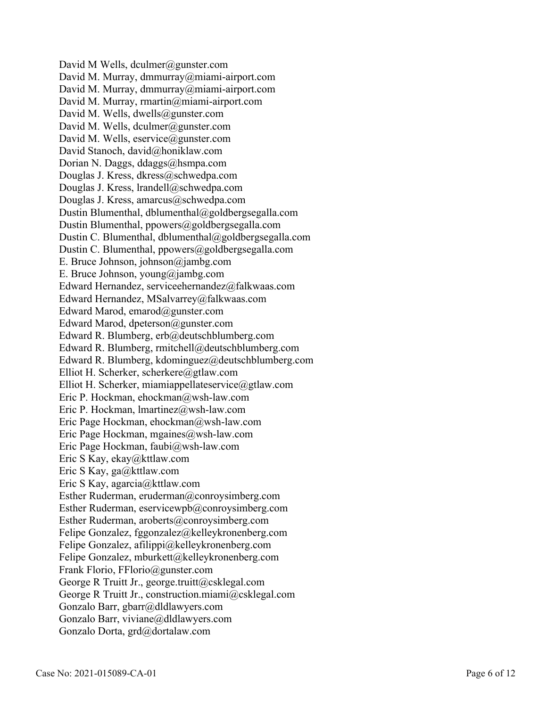David M Wells, dculmer@gunster.com David M. Murray, dmmurray@miami-airport.com David M. Murray, dmmurray@miami-airport.com David M. Murray, rmartin@miami-airport.com David M. Wells, dwells@gunster.com David M. Wells, dculmer@gunster.com David M. Wells, eservice@gunster.com David Stanoch, david@honiklaw.com Dorian N. Daggs, ddaggs@hsmpa.com Douglas J. Kress, dkress@schwedpa.com Douglas J. Kress, lrandell@schwedpa.com Douglas J. Kress, amarcus@schwedpa.com Dustin Blumenthal, dblumenthal@goldbergsegalla.com Dustin Blumenthal, ppowers@goldbergsegalla.com Dustin C. Blumenthal, dblumenthal@goldbergsegalla.com Dustin C. Blumenthal, ppowers@goldbergsegalla.com E. Bruce Johnson, johnson@jambg.com E. Bruce Johnson, young@jambg.com Edward Hernandez, serviceehernandez@falkwaas.com Edward Hernandez, MSalvarrey@falkwaas.com Edward Marod, emarod@gunster.com Edward Marod, dpeterson@gunster.com Edward R. Blumberg, erb@deutschblumberg.com Edward R. Blumberg, rmitchell@deutschblumberg.com Edward R. Blumberg, kdominguez@deutschblumberg.com Elliot H. Scherker, scherkere@gtlaw.com Elliot H. Scherker, miamiappellateservice@gtlaw.com Eric P. Hockman, ehockman@wsh-law.com Eric P. Hockman, lmartinez@wsh-law.com Eric Page Hockman, ehockman@wsh-law.com Eric Page Hockman, mgaines@wsh-law.com Eric Page Hockman, faubi@wsh-law.com Eric S Kay, ekay@kttlaw.com Eric S Kay, ga@kttlaw.com Eric S Kay, agarcia@kttlaw.com Esther Ruderman, eruderman@conroysimberg.com Esther Ruderman, eservicewpb@conroysimberg.com Esther Ruderman, aroberts@conroysimberg.com Felipe Gonzalez, fggonzalez@kelleykronenberg.com Felipe Gonzalez, afilippi@kelleykronenberg.com Felipe Gonzalez, mburkett@kelleykronenberg.com Frank Florio, FFlorio@gunster.com George R Truitt Jr., george.truitt@csklegal.com George R Truitt Jr., construction.miami@csklegal.com Gonzalo Barr, gbarr@dldlawyers.com Gonzalo Barr, viviane@dldlawyers.com Gonzalo Dorta, grd@dortalaw.com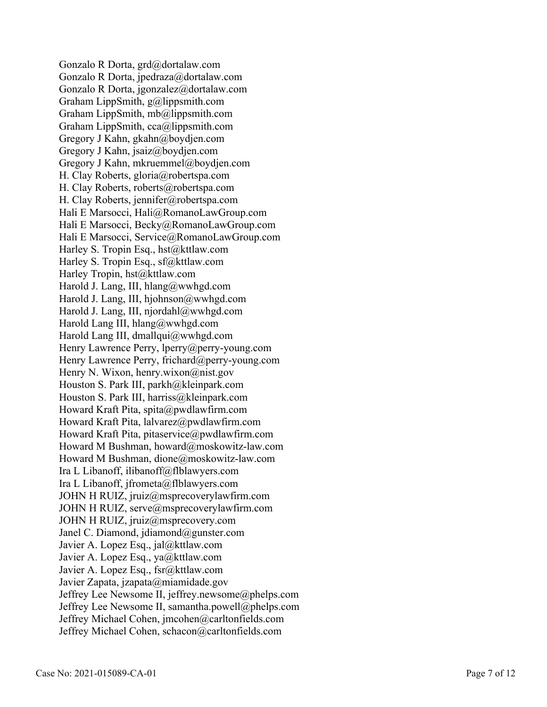Gonzalo R Dorta, grd@dortalaw.com Gonzalo R Dorta, jpedraza@dortalaw.com Gonzalo R Dorta, jgonzalez@dortalaw.com Graham LippSmith, g@lippsmith.com Graham LippSmith, mb@lippsmith.com Graham LippSmith, cca@lippsmith.com Gregory J Kahn, gkahn@boydjen.com Gregory J Kahn, jsaiz@boydjen.com Gregory J Kahn, mkruemmel@boydjen.com H. Clay Roberts, gloria@robertspa.com H. Clay Roberts, roberts@robertspa.com H. Clay Roberts, jennifer@robertspa.com Hali E Marsocci, Hali@RomanoLawGroup.com Hali E Marsocci, Becky@RomanoLawGroup.com Hali E Marsocci, Service@RomanoLawGroup.com Harley S. Tropin Esq., hst@kttlaw.com Harley S. Tropin Esq., sf@kttlaw.com Harley Tropin, hst@kttlaw.com Harold J. Lang, III, hlang@wwhgd.com Harold J. Lang, III, hjohnson@wwhgd.com Harold J. Lang, III, njordahl@wwhgd.com Harold Lang III, hlang@wwhgd.com Harold Lang III, dmallqui@wwhgd.com Henry Lawrence Perry, lperry@perry-young.com Henry Lawrence Perry, frichard@perry-young.com Henry N. Wixon, henry.wixon@nist.gov Houston S. Park III, parkh@kleinpark.com Houston S. Park III, harriss@kleinpark.com Howard Kraft Pita, spita@pwdlawfirm.com Howard Kraft Pita, lalvarez@pwdlawfirm.com Howard Kraft Pita, pitaservice@pwdlawfirm.com Howard M Bushman, howard@moskowitz-law.com Howard M Bushman, dione@moskowitz-law.com Ira L Libanoff, ilibanoff@flblawyers.com Ira L Libanoff, jfrometa@flblawyers.com JOHN H RUIZ, jruiz@msprecoverylawfirm.com JOHN H RUIZ, serve@msprecoverylawfirm.com JOHN H RUIZ, jruiz@msprecovery.com Janel C. Diamond, jdiamond@gunster.com Javier A. Lopez Esq., jal@kttlaw.com Javier A. Lopez Esq., ya@kttlaw.com Javier A. Lopez Esq., fsr@kttlaw.com Javier Zapata, jzapata@miamidade.gov Jeffrey Lee Newsome II, jeffrey.newsome@phelps.com Jeffrey Lee Newsome II, samantha.powell@phelps.com Jeffrey Michael Cohen, jmcohen@carltonfields.com Jeffrey Michael Cohen, schacon@carltonfields.com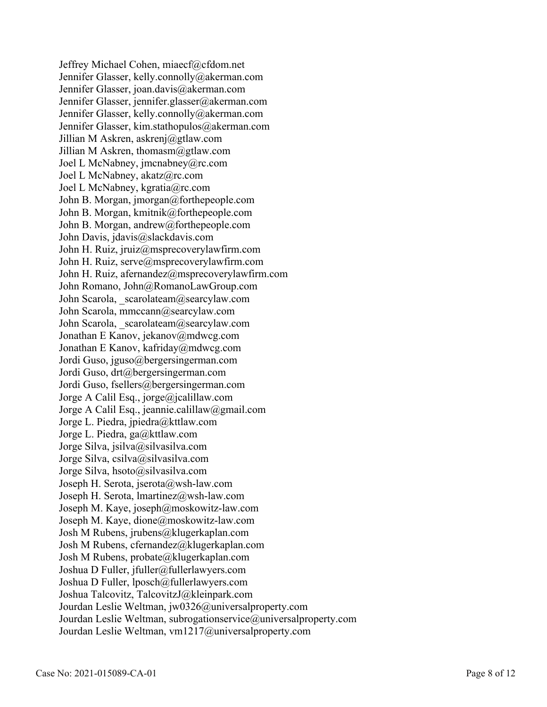Jeffrey Michael Cohen, miaecf@cfdom.net Jennifer Glasser, kelly.connolly@akerman.com Jennifer Glasser, joan.davis@akerman.com Jennifer Glasser, jennifer.glasser@akerman.com Jennifer Glasser, kelly.connolly@akerman.com Jennifer Glasser, kim.stathopulos@akerman.com Jillian M Askren, askrenj@gtlaw.com Jillian M Askren, thomasm@gtlaw.com Joel L McNabney, jmcnabney@rc.com Joel L McNabney, akatz@rc.com Joel L McNabney, kgratia@rc.com John B. Morgan, jmorgan@forthepeople.com John B. Morgan, kmitnik@forthepeople.com John B. Morgan, andrew@forthepeople.com John Davis, jdavis@slackdavis.com John H. Ruiz, jruiz@msprecoverylawfirm.com John H. Ruiz, serve@msprecoverylawfirm.com John H. Ruiz, afernandez@msprecoverylawfirm.com John Romano, John@RomanoLawGroup.com John Scarola, scarolateam@searcylaw.com John Scarola, mmccann@searcylaw.com John Scarola, scarolateam@searcylaw.com Jonathan E Kanov, jekanov@mdwcg.com Jonathan E Kanov, kafriday@mdwcg.com Jordi Guso, jguso@bergersingerman.com Jordi Guso, drt@bergersingerman.com Jordi Guso, fsellers@bergersingerman.com Jorge A Calil Esq., jorge@jcalillaw.com Jorge A Calil Esq., jeannie.calillaw@gmail.com Jorge L. Piedra, jpiedra@kttlaw.com Jorge L. Piedra, ga@kttlaw.com Jorge Silva, jsilva@silvasilva.com Jorge Silva, csilva@silvasilva.com Jorge Silva, hsoto@silvasilva.com Joseph H. Serota, jserota@wsh-law.com Joseph H. Serota, lmartinez@wsh-law.com Joseph M. Kaye, joseph@moskowitz-law.com Joseph M. Kaye, dione@moskowitz-law.com Josh M Rubens, jrubens@klugerkaplan.com Josh M Rubens, cfernandez@klugerkaplan.com Josh M Rubens, probate@klugerkaplan.com Joshua D Fuller, jfuller@fullerlawyers.com Joshua D Fuller, lposch@fullerlawyers.com Joshua Talcovitz, TalcovitzJ@kleinpark.com Jourdan Leslie Weltman, jw0326@universalproperty.com Jourdan Leslie Weltman, subrogationservice@universalproperty.com Jourdan Leslie Weltman, vm1217@universalproperty.com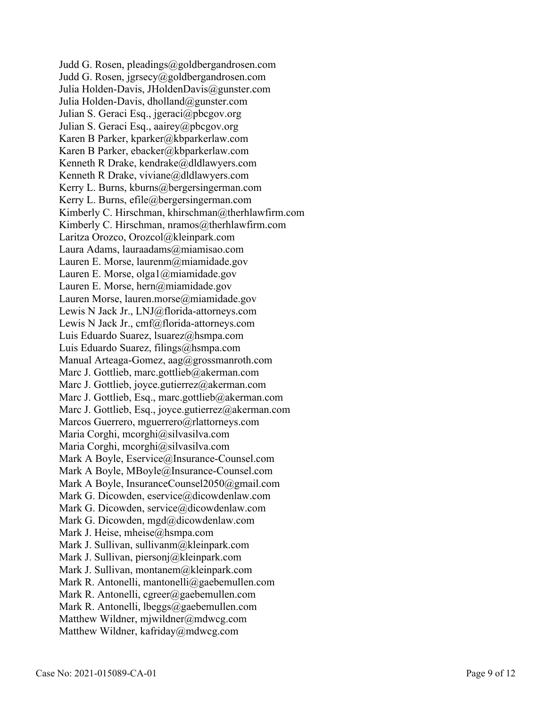Judd G. Rosen, pleadings@goldbergandrosen.com Judd G. Rosen, jgrsecy@goldbergandrosen.com Julia Holden-Davis, JHoldenDavis@gunster.com Julia Holden-Davis, dholland@gunster.com Julian S. Geraci Esq., jgeraci@pbcgov.org Julian S. Geraci Esq., aairey@pbcgov.org Karen B Parker, kparker@kbparkerlaw.com Karen B Parker, ebacker@kbparkerlaw.com Kenneth R Drake, kendrake@dldlawyers.com Kenneth R Drake, viviane@dldlawyers.com Kerry L. Burns, kburns@bergersingerman.com Kerry L. Burns, efile@bergersingerman.com Kimberly C. Hirschman, khirschman@therhlawfirm.com Kimberly C. Hirschman, nramos@therhlawfirm.com Laritza Orozco, Orozcol@kleinpark.com Laura Adams, lauraadams@miamisao.com Lauren E. Morse, laurenm@miamidade.gov Lauren E. Morse, olga1@miamidade.gov Lauren E. Morse, hern@miamidade.gov Lauren Morse, lauren.morse@miamidade.gov Lewis N Jack Jr., LNJ@florida-attorneys.com Lewis N Jack Jr., cmf@florida-attorneys.com Luis Eduardo Suarez, lsuarez@hsmpa.com Luis Eduardo Suarez, filings@hsmpa.com Manual Arteaga-Gomez, aag@grossmanroth.com Marc J. Gottlieb, marc.gottlieb@akerman.com Marc J. Gottlieb, joyce.gutierrez@akerman.com Marc J. Gottlieb, Esq., marc.gottlieb@akerman.com Marc J. Gottlieb, Esq., joyce.gutierrez@akerman.com Marcos Guerrero, mguerrero@rlattorneys.com Maria Corghi, mcorghi@silvasilva.com Maria Corghi, mcorghi@silvasilva.com Mark A Boyle, Eservice@Insurance-Counsel.com Mark A Boyle, MBoyle@Insurance-Counsel.com Mark A Boyle, InsuranceCounsel2050@gmail.com Mark G. Dicowden, eservice@dicowdenlaw.com Mark G. Dicowden, service@dicowdenlaw.com Mark G. Dicowden, mgd@dicowdenlaw.com Mark J. Heise, mheise@hsmpa.com Mark J. Sullivan, sullivanm@kleinpark.com Mark J. Sullivan, piersonj@kleinpark.com Mark J. Sullivan, montanem@kleinpark.com Mark R. Antonelli, mantonelli@gaebemullen.com Mark R. Antonelli, cgreer@gaebemullen.com Mark R. Antonelli, lbeggs@gaebemullen.com Matthew Wildner, mjwildner@mdwcg.com Matthew Wildner, kafriday@mdwcg.com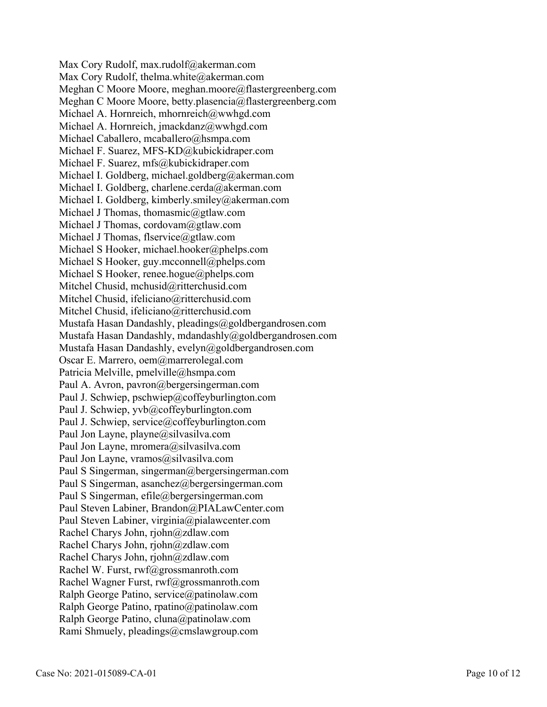Max Cory Rudolf, max.rudolf@akerman.com Max Cory Rudolf, thelma.white@akerman.com Meghan C Moore Moore, meghan.moore@flastergreenberg.com Meghan C Moore Moore, betty.plasencia@flastergreenberg.com Michael A. Hornreich, mhornreich@wwhgd.com Michael A. Hornreich, jmackdanz@wwhgd.com Michael Caballero, mcaballero@hsmpa.com Michael F. Suarez, MFS-KD@kubickidraper.com Michael F. Suarez, mfs@kubickidraper.com Michael I. Goldberg, michael.goldberg@akerman.com Michael I. Goldberg, charlene.cerda@akerman.com Michael I. Goldberg, kimberly.smiley@akerman.com Michael J Thomas, thomasmic@gtlaw.com Michael J Thomas, cordovam@gtlaw.com Michael J Thomas, flservice@gtlaw.com Michael S Hooker, michael.hooker@phelps.com Michael S Hooker, guy.mcconnell@phelps.com Michael S Hooker, renee.hogue@phelps.com Mitchel Chusid, mchusid@ritterchusid.com Mitchel Chusid, ifeliciano@ritterchusid.com Mitchel Chusid, ifeliciano@ritterchusid.com Mustafa Hasan Dandashly, pleadings@goldbergandrosen.com Mustafa Hasan Dandashly, mdandashly@goldbergandrosen.com Mustafa Hasan Dandashly, evelyn@goldbergandrosen.com Oscar E. Marrero, oem@marrerolegal.com Patricia Melville, pmelville@hsmpa.com Paul A. Avron, pavron@bergersingerman.com Paul J. Schwiep, pschwiep@coffeyburlington.com Paul J. Schwiep, yvb@coffeyburlington.com Paul J. Schwiep, service@coffeyburlington.com Paul Jon Layne, playne@silvasilva.com Paul Jon Layne, mromera@silvasilva.com Paul Jon Layne, vramos@silvasilva.com Paul S Singerman, singerman@bergersingerman.com Paul S Singerman, asanchez@bergersingerman.com Paul S Singerman, efile@bergersingerman.com Paul Steven Labiner, Brandon@PIALawCenter.com Paul Steven Labiner, virginia@pialawcenter.com Rachel Charys John, rjohn@zdlaw.com Rachel Charys John, rjohn@zdlaw.com Rachel Charys John, rjohn@zdlaw.com Rachel W. Furst, rwf@grossmanroth.com Rachel Wagner Furst, rwf@grossmanroth.com Ralph George Patino, service@patinolaw.com Ralph George Patino, rpatino@patinolaw.com Ralph George Patino, cluna@patinolaw.com Rami Shmuely, pleadings@cmslawgroup.com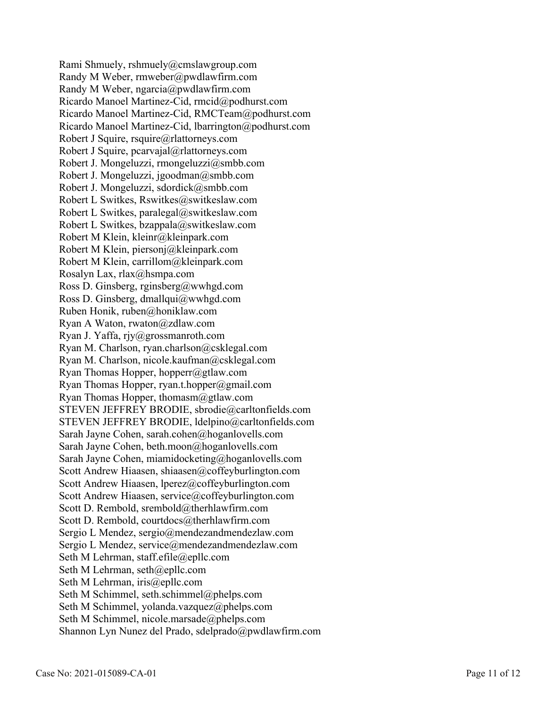Rami Shmuely, rshmuely@cmslawgroup.com Randy M Weber, rmweber@pwdlawfirm.com Randy M Weber, ngarcia@pwdlawfirm.com Ricardo Manoel Martinez-Cid, rmcid@podhurst.com Ricardo Manoel Martinez-Cid, RMCTeam@podhurst.com Ricardo Manoel Martinez-Cid, lbarrington@podhurst.com Robert J Squire, rsquire@rlattorneys.com Robert J Squire, pcarvajal@rlattorneys.com Robert J. Mongeluzzi, rmongeluzzi@smbb.com Robert J. Mongeluzzi, jgoodman@smbb.com Robert J. Mongeluzzi, sdordick@smbb.com Robert L Switkes, Rswitkes@switkeslaw.com Robert L Switkes, paralegal@switkeslaw.com Robert L Switkes, bzappala@switkeslaw.com Robert M Klein, kleinr@kleinpark.com Robert M Klein, piersonj@kleinpark.com Robert M Klein, carrillom@kleinpark.com Rosalyn Lax, rlax@hsmpa.com Ross D. Ginsberg, rginsberg@wwhgd.com Ross D. Ginsberg, dmallqui@wwhgd.com Ruben Honik, ruben@honiklaw.com Ryan A Waton, rwaton@zdlaw.com Ryan J. Yaffa, rjy@grossmanroth.com Ryan M. Charlson, ryan.charlson@csklegal.com Ryan M. Charlson, nicole.kaufman@csklegal.com Ryan Thomas Hopper, hopperr@gtlaw.com Ryan Thomas Hopper, ryan.t.hopper@gmail.com Ryan Thomas Hopper, thomasm@gtlaw.com STEVEN JEFFREY BRODIE, sbrodie@carltonfields.com STEVEN JEFFREY BRODIE, ldelpino@carltonfields.com Sarah Jayne Cohen, sarah.cohen@hoganlovells.com Sarah Jayne Cohen, beth.moon@hoganlovells.com Sarah Jayne Cohen, miamidocketing@hoganlovells.com Scott Andrew Hiaasen, shiaasen@coffeyburlington.com Scott Andrew Hiaasen, lperez@coffeyburlington.com Scott Andrew Hiaasen, service@coffeyburlington.com Scott D. Rembold, srembold@therhlawfirm.com Scott D. Rembold, courtdocs@therhlawfirm.com Sergio L Mendez, sergio@mendezandmendezlaw.com Sergio L Mendez, service@mendezandmendezlaw.com Seth M Lehrman, staff.efile@epllc.com Seth M Lehrman, seth@epllc.com Seth M Lehrman, iris@epllc.com Seth M Schimmel, seth.schimmel@phelps.com Seth M Schimmel, yolanda.vazquez@phelps.com Seth M Schimmel, nicole.marsade@phelps.com Shannon Lyn Nunez del Prado, sdelprado@pwdlawfirm.com